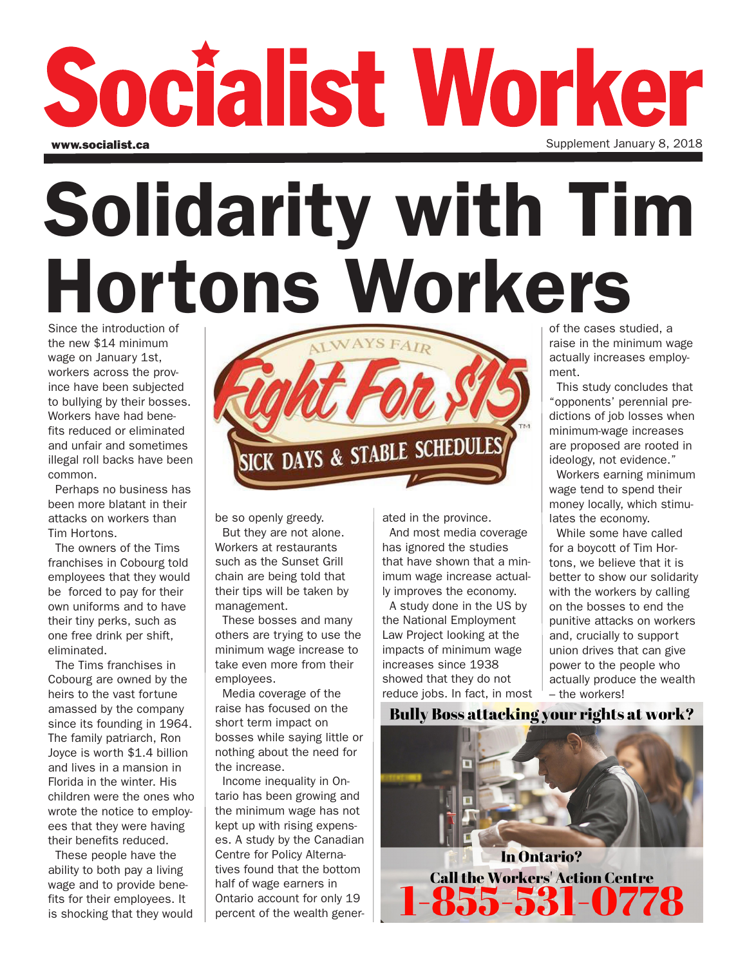## Socialist Worker Supplement January 8, 2018 www.socialist.ca

# Solidarity with Tim Hortons Workers

Since the introduction of the new \$14 minimum wage on January 1st, workers across the province have been subjected to bullying by their bosses. Workers have had benefits reduced or eliminated and unfair and sometimes illegal roll backs have been common.

Perhaps no business has been more blatant in their attacks on workers than Tim Hortons.

The owners of the Tims franchises in Cobourg told employees that they would be forced to pay for their own uniforms and to have their tiny perks, such as one free drink per shift, eliminated.

The Tims franchises in Cobourg are owned by the heirs to the vast fortune amassed by the company since its founding in 1964. The family patriarch, Ron Joyce is worth \$1.4 billion and lives in a mansion in Florida in the winter. His children were the ones who wrote the notice to employees that they were having their benefits reduced.

These people have the ability to both pay a living wage and to provide benefits for their employees. It is shocking that they would



be so openly greedy.

But they are not alone. Workers at restaurants such as the Sunset Grill chain are being told that their tips will be taken by management.

These bosses and many others are trying to use the minimum wage increase to take even more from their employees.

Media coverage of the raise has focused on the short term impact on bosses while saying little or nothing about the need for the increase.

Income inequality in Ontario has been growing and the minimum wage has not kept up with rising expenses. A study by the Canadian Centre for Policy Alternatives found that the bottom half of wage earners in Ontario account for only 19 percent of the wealth generated in the province.

And most media coverage has ignored the studies that have shown that a minimum wage increase actually improves the economy.

A study done in the US by the National Employment Law Project looking at the impacts of minimum wage increases since 1938 showed that they do not reduce jobs. In fact, in most of the cases studied, a raise in the minimum wage actually increases employment.

This study concludes that "opponents' perennial predictions of job losses when minimum-wage increases are proposed are rooted in ideology, not evidence."

Workers earning minimum wage tend to spend their money locally, which stimulates the economy.

While some have called for a boycott of Tim Hortons, we believe that it is better to show our solidarity with the workers by calling on the bosses to end the punitive attacks on workers and, crucially to support union drives that can give power to the people who actually produce the wealth – the workers!